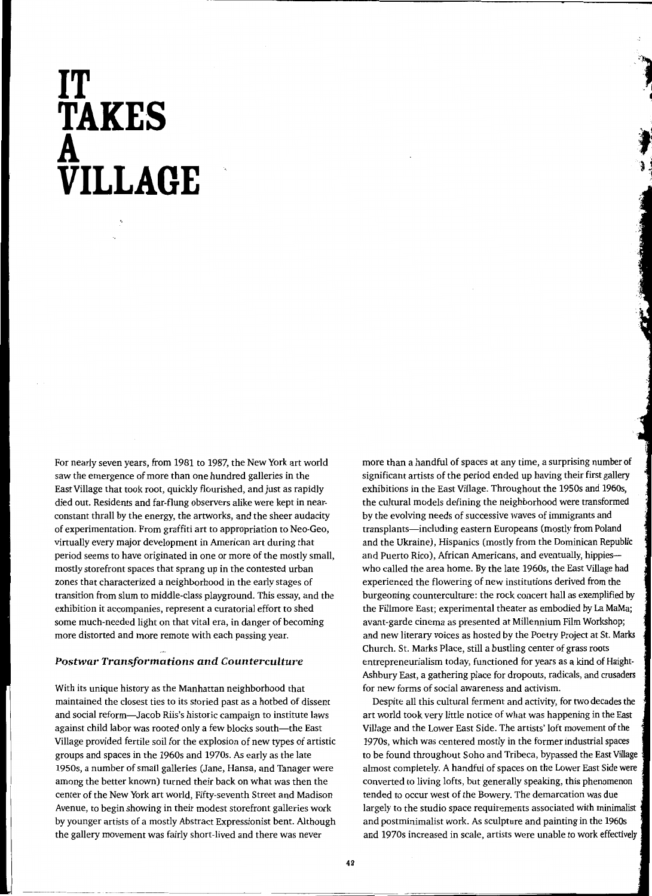# **IT TAKE·S A VILLAGE**

For nearly seven years, from 1981 to 1987, the New York art world saw the emergence of more than one hundred galleries in the East Village that took root, quickly flourished, and just as rapidly died out. Residents and far-flung observers alike were kept in nearconstant thrall by the energy, the artworks, and the sheer audacity of experimentation. From graffiti art to appropriation to Neo-Geo, virtually every major development in American art during that period seems to have originated in one or more of the mostly small, mostly storefront spaces that sprang up in the contested urban zones that characterized a neighborhood in the early stages of transition from slum to middle-class playground. This essay, and the exhibition it accompanies, represent a curatorial effort to shed some much-needed light on that vital era, in danger of becoming more distorted and more remote with each passing year.

## *Postwar Transformations and Countercultw·e*

With its unique history as the Manhattan neighborhood that maintained the closest ties to its storied past as a hotbed of dissent and social reform-Jacob Riis's historic campaign to institute laws against child labor was rooted only a few blocks south-the East Village provided fertile soil for the explosion of new types of artistic groups and spaces in the 1960s and 1970s. As early as the late 1950s, a number of small galleries (Jane, Hansa, and Tanager were among the better known) turned their back on what was then the center of the New York art world, Fifty-seventh Street and Madison Avenue, to begin showing in their modest storefront galleries work by younger artists of a mostly Abstract Expressionist bent. Although the gallery movement was fairly short-lived and there was never

more than a handful of spaces at any time, a surprising number of significant artists of the period ended up having their first gallery exhibitions in the East Village. Throughout the 1950s and 1960s, the cultural models defining the neighborhood were transformed by the evolving needs of successive waves of immigrants and transplants—including eastern Europeans (mostly from Poland and the Ukraine), Hispanics (mostly from the Dominican Republic and Puerto Rico), African Americans, and eventually, hippieswho called the area home. By the late 1960s, the East Village had experienced the flowering of new institutions derived from the burgeoning counterculture: the rock concert hall as exemplified by the Fillmore East; experimental theater as embodied by La MaMa; avant-garde cinema as presented at Millennium Film Workshop; and new literary voices as hosted by the Poetry Project at St. Marks Church. St. Marks Place, still a bustling center of grass roots entrepreneurialism today, functioned for years as a kind of Haight-Ashbury East, a gathering place for dropouts, radicals, and crusaders for new forms of social awareness and activism.

Despite all this cultural ferment and activity, for two decades the art world took very little notice of what was happening in the East Village and the Lower East Side. The artists' loft movement of the 1970s, which was centered mostly in the former industrial spaces to be found throughout Soho and Tribeca, bypassed the East Village almost completely. A handful of spaces on the Lower East Side were converted to living lofts, but generally speaking, this phenomenon tended to occur west of the Bowery. The demarcation was due largely to the studio space requirements associated with minimalist and postminimalist work. As sculpture and painting in the 1960s and 1970s increased in scale, artists were unable to work effectively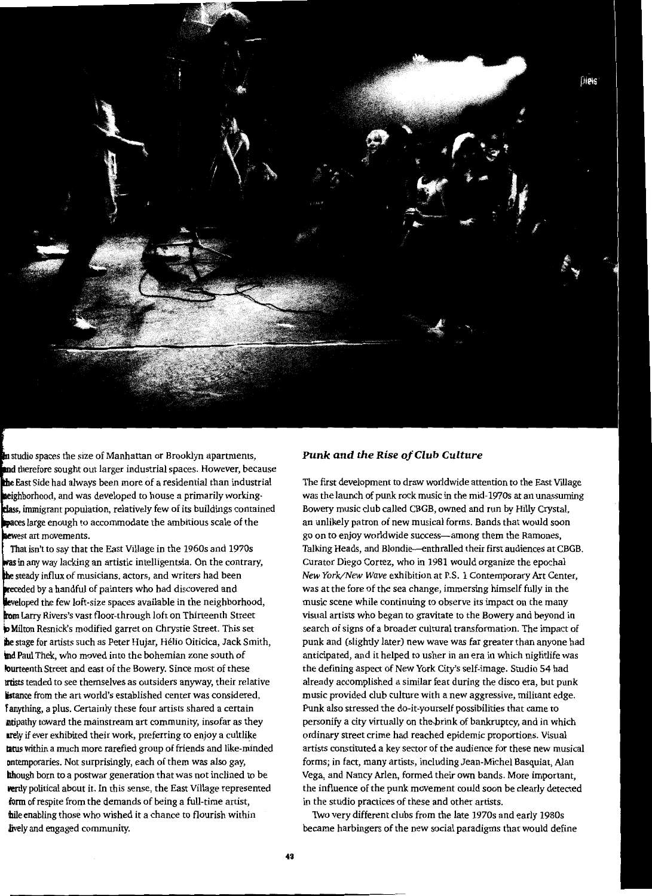

**n** studio spaces the size of Manhattan or Brooklyn apartments, and therefore sought out larger industrial spaces. However, because East Side had always been more of a residential than industrial heighborhood, and was developed to house a primarily working**class**, immigrant population, relatively few of its buildings contained paces large enough to accommodate the ambitious scale of the ewest art movements.

That isn't to say that the East Village in the 1960s and 1970s in any way lacking an artistic intelligentsia. On the contrary, the steady influx of musicians, actors, and writers had been receded by a handful of painters who had discovered and leveloped the few loft-size spaces available in the neighborhood, Larry Rivers's vast floor-through loft on Thirteenth Street Milton Resnick's modified garret on Chrystie Street. This set ihe stage for artists such as Peter Hujar, Helio Oiticica, Jack Smith, lnd Paul Thek, who moved into the bohemian zone south of lourteenth Street and east of the Bowery. Since most of these lrtists tended to see themselves as outsiders anyway, their relative istance from the art world's established center was considered, f anything, a plus. Certainly these four artists shared a certain ntipathy toward the mainstream art community, insofar as they arely if ever exhibited their work, preferring to enjoy a cultlike tatus within a much more rarefied group of friends and like-minded ontemporaries. Not surprisingly, each of them was also gay, though born to a postwar generation that was not inclined to be vertly political about it. In this sense, the East Village represented form of respite from the demands of being a full-time artist, **h**ile enabling those who wished it a chance to flourish within lively and engaged community.

#### *Punk and the Rise of Club Culture*

The first development to draw worldwide attention to the East Village was the launch of punk rock music in the mid-1970s at an unassuming Bowery music club called CBGB, owned and run by Hilly Crystal, an unlikely patron of new musical forms. Bands that would soon go on to enjoy worldwide success-among them the Ramones, Talking Heads, and Blondie-enthralled their first audiences at CBGB. Curator Diego Cortez, who in 1981 would organize the epochal *New York/New Wave* exhibition at P.S. 1 Contemporary Art Center, was at the fore of the sea change, immersing himself fully in the music scene while continuing to observe its impact on the many visual artists who began to gravitate to the Bowery and beyond in search of signs of a broader cultural transformation. The impact of punk and (slightly later) new wave was far greater than anyone had anticipated, and it helped to usher in an era in which nightlife was the defining aspect of New York City's self-image. Studio 54 had already accomplished a similar feat during the disco era, but punk music provided club culture with a new aggressive, militant edge. Punk also stressed the do-it-yourself possibilities that came to personify a city virtually on the,brink of bankruptcy, and in which ordinary street crime had reached epidemic proportions. Visual artists constituted a key sector of the audience for these new musical forms; in fact, many artists, including Jean-Michel Basquiat, Alan Vega, and Nancy Arlen, formed their own bands. More important, the influence of the punk movement could soon be clearly detected in the studio practices of these and other artists.

Two very different clubs from the late 1970s and early 1980s became harbingers of the new social paradigms that would define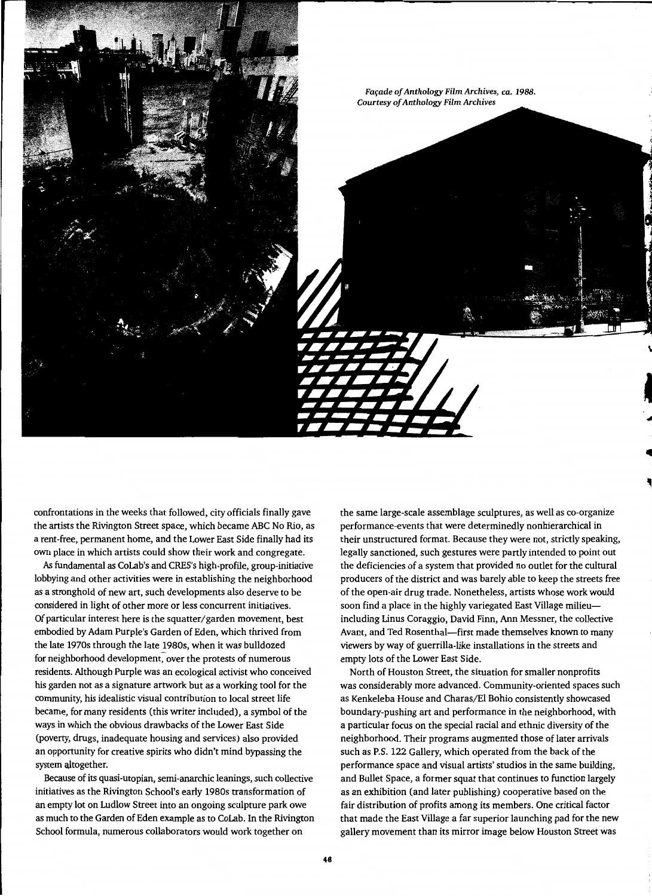

confrontations in the weeks that followed, city officials finally gave the artists the Rivington Street space, which became ABC No Rio, as a rent-free, permanent home, and the Lower East Side finally had its own place in which artists could show their work and congregate.

*As* fundamental as CoLab's and CRES's high-profile, group-initiative lobbying and other activities were in establishing the neighborhood as a stronghold of new art, such developments also deserve to be considered in light of other more or less concurrent initiatives. Of particular interest here is the squatter/ garden movement, best embodied by Adam Purple's Garden of Eden, which thrived from the late 1970s through the late 1980s, when it was bulldozed for neighborhood development, over the protests of numerous residents. Although Purple was an ecological activist who conceived his garden not as a signature artwork but as a working tool for the community, his idealistic visual contribution to local street life became, for many residents (this writer included), a symbol of the ways in which the obvious drawbacks of the Lower East Side (poverty, drugs, inadequate housing and services) also provided an opportunity for creative spirits who didn't mind bypassing the system altogether.

Because of its quasi-utopian, semi-anarchic leanings, such collective initiatives as the Rivington School's early 1980s transformation of an empty lot on Ludlow Street into an ongoing sculpture park owe as much to the Garden of Eden example as to CoLab. In the Rivington School formula, numerous collaborators would work together on

the same large-scale assemblage sculptures, as well as co-organize performance-events that were determinedly nonhierarchical in their unstructured format. Because they were not, strictly speaking, legally sanctioned, such gestures were partly intended to point out the deficiencies of a system that provided no outlet for the cultural producers of the district and was barely able to keep the streets free of the open-air drug trade. Nonetheless, artists whose work would soon find a place in the highly variegated East Village milieuincluding Linus Coraggio, David Finn, Ann Messner, the collective Avant, and Ted Rosenthal-first made themselves known to many viewers by way of guerrilla-like installations in the streets and empty lots of the Lower East Side.

North of Houston Street, the situation for smaller nonprofits was considerably more advanced. Community-oriented spaces such as Kenkeleba House and Charas/El Bohio consistently showcased boundary-pushing art and performance in the neighborhood, with a particular focus on the special racial and ethnic diversity of the neighborhood. Their programs augmented those of later arrivals such as P.S. 122 Gallery, which operated from the back of the performance space and visual artists' studios in the same building, and Bullet Space, a former squat that continues to function largely as an exhibition (and later publishing) cooperative based on the fair distribution of profits among its members. One critical factor that made the East Village a far superior launching pad for the new gallery movement than its mirror image below Houston Street was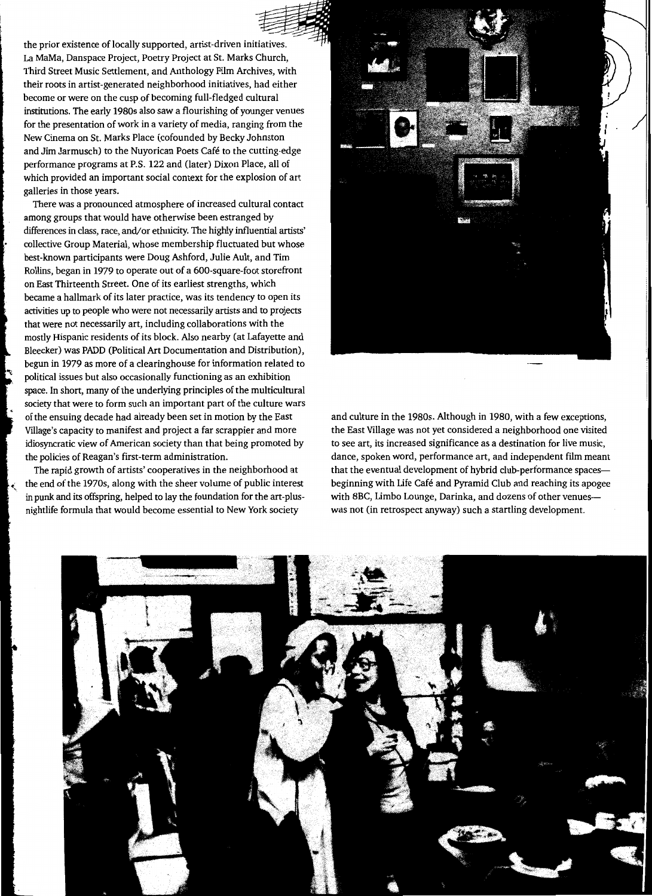the prior existence of locally supported, artist-driven initiatives. La MaMa, Danspace Project, Poetry Project at St. Marks Church, Third Street Music Settlement, and Anthology Film Archives, with their roots in artist-generated neighborhood initiatives, had either become or were on the cusp of becoming full-fledged cultural institutions. The early 1980s also saw a flourishing of younger venues for the presentation of work in a variety of media, ranging from the New Cinema on St. Marks Place (cofounded by Becky Johnston and Jim Jarmusch) to the Nuyorican Poets Cafe to the cutting-edge performance programs at P.S. 122 and (later) Dixon Place, all of which provided an important social context for the explosion of art galleries in those years.

There was a pronounced atmosphere of increased cultural contact among groups that would have otherwise been estranged by differences in class, race, and/or ethnicity. The highly influential artists' collective Group Material, whose membership fluctuated but whose best-known participants were Doug Ashford, Julie Ault, and Tim Rollins, began in 1979 to operate out of a 600-square-foot storefront on East Thirteenth Street. One of its earliest strengths, which became a hallmark of its later practice, was its tendency to open its activities up to people who were not necessarily artists and to projects that were not necessarily art, including collaborations with the mostly Hispanic residents of its block. Also nearby (at Lafayette and Bleecker) was PADD (Political Art Documentation and Distribution), begun in 1979 as more of a clearinghouse for information related to political issues but also occasionally functioning as an exhibition space. In short, many of the underlying principles of the multicultural society that were to form such an important part of the culture wars of the ensuing decade had already been set in motion by the East Village's capacity to manifest and project a far scrappier and more idiosyncratic view of American society than that being promoted by the policies of Reagan's first -term administration.

The rapid growth of artists' cooperatives in the neighborhood at the end of the 1970s, along with the sheer volume of public interest in punk and its offspring, helped to lay the foundation for the art -plusnightlife formula that would become essential to New York society



and culture in the 1980s. Although in 1980, with a few exceptions, the East Village was not yet considered a neighborhood one visited to see art, its increased significance as a destination for live music, dance, spoken word, performance art, and independent film meant that the eventual development of hybrid club-performance spacesbeginning with Life Café and Pyramid Club and reaching its apogee with 8BC, Limbo Lounge, Darinka, and dozens of other venueswas not (in retrospect anyway) such a startling development.

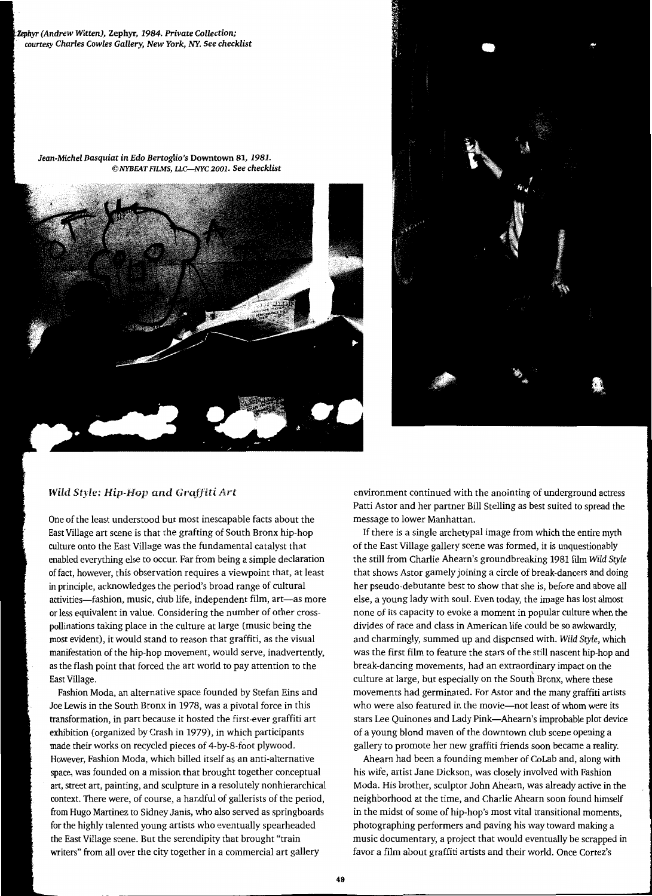*(Andrew Witten),* Zephyr, *1984. Private Collection; courtesy Charles Cowles Gallery, New York, NY. See checklist* 

*Jean-Michel Basquiat in Edo Bertoglio's* Downtown 81, *1981. ©NYBEAT FILMS, LLC-NYC 2001. See checklist* 





## **Wild Style: Hip-Hop and Graffiti Art**

One of the least understood but most inescapable facts about the East Village art scene is that the grafting of South Bronx hip-hop culture onto the East Village was the fundamental catalyst that enabled everything else to occur. Far from being a simple declaration of fact, however, this observation requires a viewpoint that, at least in principle, acknowledges the period's broad range of cultural activities-fashion, music, club life, independent film, art-as more or less equivalent in value. Considering the number of other crosspollinations taking place in the culture at large (music being the most evident), it would stand to reason that graffiti, as the visual manifestation of the hip-hop movement, would serve, inadvertently, as the flash point that forced the art world to pay attention to the East Village.

Fashion Moda, an alternative space founded by Stefan Eins and Joe Lewis in the South Bronx in 1978, was a pivotal force in this transformation, in part because it hosted the first-ever graffiti art exhibition (organized by Crash in 1979), in which participants made their works on recycled pieces of 4-by-8-foot plywood. However, Fashion Moda, which billed itself as an anti-alternative space, was founded on a mission that brought together conceptual art, street art, painting, and sculpture in a resolutely nonhierarchical context. There were, of course, a handful of gallerists of the period, from Hugo Martinez to Sidney Janis, who also served as springboards for the highly talented young artists who eventually spearheaded the East Village scene. But the serendipity that brought "train writers" from all over the city together in a commercial art gallery

environment continued with the anointing of underground actress Patti Astor and her partner Bill Stelling as best suited to spread the message to lower Manhattan.

If there is a single archetypal image from which the entire myth of the East Village gallery scene was formed, it is unquestionably the still from Charlie Ahearn's ground breaking 1981 film *Wild Style*  that shows Astor gamely joining a circle of break-dancers and doing her pseudo-debutante best to show that she is, before and above all else, a young lady with soul. Even today, the image has lost almost none of its capacity to evoke a moment in popular culture when the divides of race and class in American life could be so awkwardly, and charmingly, summed up and dispensed with. *Wild Style,* which was the first film to feature the stars of the still nascent hip-hop and break-dancing movements, had an extraordinary impact on the culture at large, but especially on the South Bronx, where these movements had germinated. For Astor and the many graffiti artists who were also featured in the movie-not least of whom were its stars Lee Quinones and Lady Pink-Ahearn's improbable plot device of a young blond maven of the downtown club scene opening a gallery to promote her new graffiti friends soon became a reality.

Ahearn had been a founding member of CoLab and, along with his wife, artist Jane Dickson, was closely involved with Fashion Moda. His brother, sculptor John Ahearn, was already active in the neighborhood at the time, and Charlie Ahearn soon found himself in the midst of some of hip-hop's most vital transitional moments, photographing performers and paving his way toward making a music documentary, a project that would eventually be scrapped in favor a film about graffiti artists and their world. Once Cortez's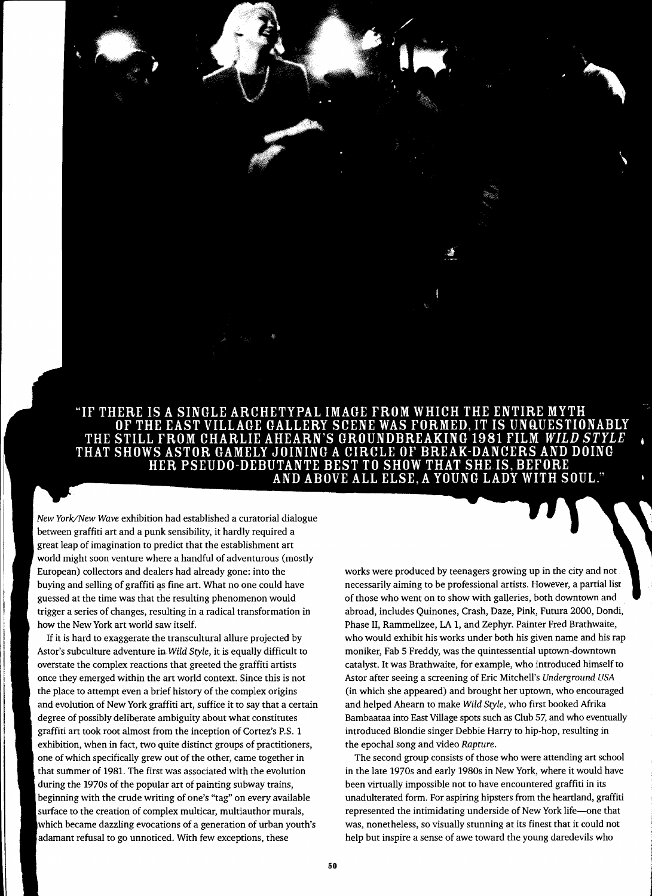"IF THERE IS A SINGLE ARCHETYPAL IMAGE FROM WHICH THE ENTIRE MYTH OF THE EAST VILLAGE GALLERY SCENE WAS FORMED, IT IS UNQUESTIONABLY THE STILL FROM CHARLIE AHEARN'S GROUNDBREAKING 1981 FILM *WILD STYLE* THAT SHOWS ASTOR GAMELY JOINING A CIRCLE OF BREAK-DANCERS AND DOING HER PSEUDO-DEBUTANTE BEST TO SHOW THAT SHE IS, BEFORE AND ABOVE ALL ELSE, A YOUNG LADY WITH SOUL."

*New York/New Wave* exhibition had established a curatorial dialogue between graffiti art and a punk sensibility, it hardly required a great leap of imagination to predict that the establishment art world might soon venture where a handful of adventurous (mostly European) collectors and dealers had already gone: into the buying and selling of graffiti as fine art. What no one could have guessed at the time was that the resulting phenomenon would trigger a series of changes, resulting in a radical transformation in how the New York art world saw itself.

If it is hard to exaggerate the transcultural allure projected by Astor's subculture adventure in *Wild Style*, it is equally difficult to overstate the complex reactions that greeted the graffiti artists once they emerged within the art world context. Since this is not the place to attempt even a brief history of the complex origins and evolution of New York graffiti art, suffice it to say that a certain degree of possibly deliberate ambiguity about what constitutes graffiti art took root almost from the inception of Cortez's P.S. 1 exhibition, when in fact, two quite distinct groups of practitioners, one of which specifically grew out of the other, came together in that summer of 1981. The first was associated with the evolution during the 1970s of the popular art of painting subway trains, beginning with the crude writing of one's "tag" on every available surface to the creation of complex multicar, multiauthor murals, which became dazzling evocations of a generation of urban youth's adamant refusal to go unnoticed. With few exceptions, these

works were produced by teenagers growing up in the city and not necessarily aiming to be professional artists. However, a partial list of those who went on to show with galleries, both downtown and abroad, includes Quinones, Crash, Daze, Pink, Futura 2000, Dondi, Phase II, Rammellzee, LA 1, and Zephyr. Painter Fred Brathwaite, who would exhibit his works under both his given name and his rap moniker, Fab 5 Freddy, was the quintessential uptown-downtown catalyst. It was Brathwaite, for example, who introduced himself to Astor after seeing a screening of Eric Mitchell's Underground USA (in which she appeared) and brought her uptown, who encouraged and helped Ahearn to make *Wild Style,* who first booked Afrika Bambaataa into East Village spots such as Club 57, and who eventually introduced Blondie singer Debbie Harry to hip-hop, resulting in the epochal song and video *Rapture.* 

The second group consists of those who were attending art school in the late 1970s and early 1980s in New York, where it would have been virtually impossible not to have encountered graffiti in its unadulterated form. For aspiring hipsters from the heartland, graffiti represented the intimidating underside of New York life-one that was, nonetheless, so visually stunning at its finest that it could not help but inspire a sense of awe toward the young daredevils who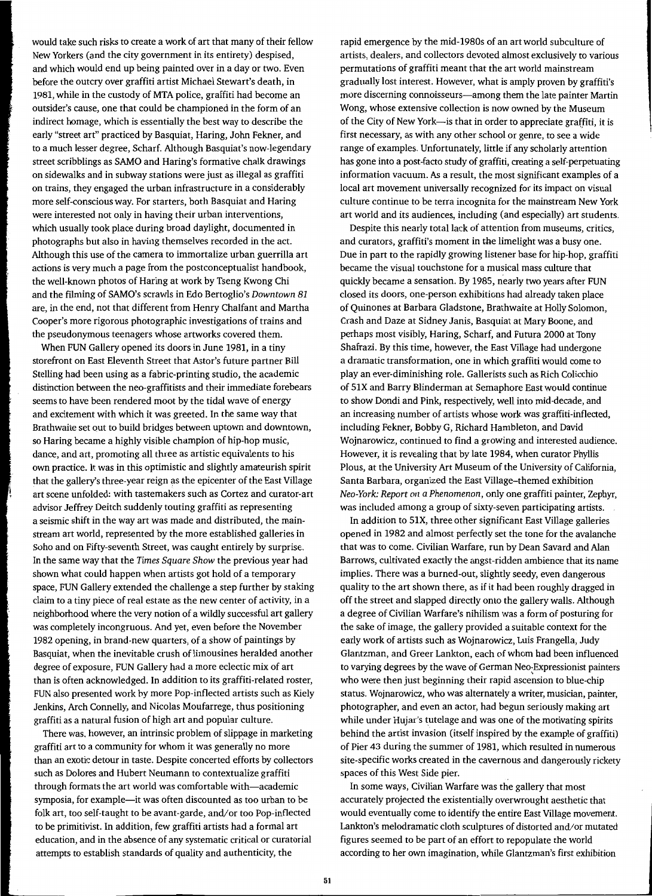would take such risks to create a work of art that many of their fellow New Yorkers (and the city government in its entirety) despised, and which would end up being painted over in a day or two. Even before the outcry over graffiti artist Michael Stewart's death, in 1981, while in the custody of MTA police, graffiti had become an outsider's cause, one that could be championed in the form of an indirect homage, which is essentially the best way to describe the early "street art" practiced by Basquiat, Haring, John Fekner, and to a much lesser degree, Scharf. Although Basquiat's now-legendary street scribblings as SAMO and Haring's formative chalk drawings on sidewalks and in subway stations were just as illegal as graffiti on trains, they engaged the urban infrastructure in a considerably more self-conscious way. For starters, both Basquiat and Haring were interested not only in having their urban interventions, which usually took place during broad daylight, documented in photographs but also in having themselves recorded in the act. Although this use of the camera to immortalize urban guerrilla art actions is very much a page from the postconceptualist handbook, the well-known photos of Haring at work by Tseng Kwong Chi and the filming of SAMO's scrawls in Edo Bertoglio's *Downtown 81*  are, in the end, not that different from Henry Chalfant and Martha Cooper's more rigorous photographic investigations of trains and the pseudonymous teenagers whose artworks covered them.

When FUN Gallery opened its doors in June 1981, in a tiny storefront on East Eleventh Street that Astor's future partner Bill Stelling had been using as a fabric-printing studio, the academic distinction between the neo-graffitists and their immediate forebears seems to have been rendered moot by the tidal wave of energy and excitement with which it was greeted. In the same way that Brathwaite set out to build bridges between uptown and downtown, so Haring became a highly visible champion of hip-hop music, dance, and art, promoting all three as artistic equivalents to his own practice. It was in this optimistic and slightly amateurish spirit that the gallery's three-year reign as the epicenter of the East Village art scene unfolded: with tastemakers such as Cortez and curator-art advisor Jeffrey Deitch suddenly touting graffiti as representing a seismic shift in the way art was made and distributed, the mainstream art world, represented by the more established galleries in Soho and on Fifty-seventh Street, was caught entirely by surprise. In the same way that the *Times Square Show* the previous year had shown what could happen when artists got hold of a temporary space, FUN Gallery extended the challenge a step further by staking claim to a tiny piece of real estate as the new center of activity, in a neighborhood where the very notion of a wildly successful art gallery was completely incongruous. And yet, even before the November 1982 opening, in brand-new quarters, of a show of paintings by Basquiat, when the inevitable crush of limousines heralded another degree of exposure, FUN Gallery had a more eclectic mix of art than is often acknowledged. In addition to its graffiti-related roster, FUN also presented work by more Pop-inflected artists such as Kiely Jenkins, Arch Connelly, and Nicolas Moufarrege, thus positioning graffiti as a natural fusion of high art and popular culture.

There was, however, an intrinsic problem of slippage in marketing graffiti art to a community for whom it was generally no more than an exotic detour in taste. Despite concerted efforts by collectors such as Dolores and Hubert Neumann to contextualize graffiti through formats the art world was comfortable with—academic symposia, for example-it was often discounted as too urban to be folk art, too self-taught to be avant-garde, and/or too Pop-inflected to be primitivist. In addition, few graffiti artists had a formal art education, and in the absence of any systematic critical or curatorial attempts to establish standards of quality and authenticity, the

rapid emergence by the mid-1980s of an art world subculture of artists, dealers, and collectors devoted almost exclusively to various permutations of graffiti meant that the art world mainstream gradually lost interest. However, what is amply proven by graffiti's more discerning connoisseurs—among them the late painter Martin Wong, whose extensive collection is now owned by the Museum of the City of New York-is that in order to appreciate graffiti, it is first necessary, as with any other school or genre, to see a wide range of examples. Unfortunately, little if any scholarly attention has gone into a post-facto study of graffiti, creating a self-perpetuating information vacuum. As a result, the most significant examples of a local art movement universally recognized for its impact on visual culture continue to be terra incognita for the mainstream New York art world and its audiences, including (and especially) art students.

Despite this nearly total lack of attention from museums, critics, and curators, graffiti's moment in the limelight was a busy one. Due in part to the rapidly growing listener base for hip-hop, graffiti became the visual touchstone for a musical mass culture that quickly became a sensation. By 1985, nearly two years after FUN closed its doors, one-person exhibitions had already taken place of Quinones at Barbara Gladstone, Brathwaite at Holly Solomon, Crash and Daze at Sidney Janis, Basquiat at Mary Boone, and perhaps most visibly, Haring, Scharf, and Futura 2000 at Tony Shafrazi. By this time, however, the East Village had undergone a dramatic transformation, one in which graffiti would come to play an ever-diminishing role. Gallerists such as Rich Colicchio of SlX and Barry Blinderman at Semaphore East would continue to show Dondi and Pink, respectively, well into mid-decade, and an increasing number of artists whose work was graffiti-inflected, including Fekner, Bobby G, Richard Hambleton, and David Wojnarowicz, continued to find a growing and interested audience. However, it is revealing that by late 1984, when curator Phyllis Pious, at the University Art Museum of the University of California, Santa Barbara, organized the East Village-themed exhibition *Neo-York: Report on a Phenomenon,* only one graffiti painter, Zephyr, was included among a group of sixty-seven participating artists.

In addition to SIX, three other significant East Village galleries opened in 1982 and almost perfectly set the tone for the avalanche that was to come. Civilian Warfare, run by Dean Savard and Alan Barrows, cultivated exactly the angst-ridden ambience that its name implies. There was a burned-out, slightly seedy, even dangerous quality to the art shown there, as if it had been roughly dragged in off the street and slapped directly onto the gallery walls. Although a degree of Civilian Warfare's nihilism was a form of posturing for the sake of image, the gallery provided a suitable context for the early work of artists such as Wojnarowicz, Luis Frangella, Judy Glantzman, and Greer Lankton, each of whom had been influenced to varying degrees by the wave of German Neo~Expressionist painters who were then just beginning their rapid ascension to blue-chip status. Wojnarowicz, who was alternately a writer, musician, painter, photographer, and even an actor, had begun seriously making art while under Hujar's tutelage and was one of the motivating spirits behind the artist invasion (itself inspired by the example of graffiti) of Pier 43 during the summer of 1981, which resulted in numerous site-specific works created in the cavernous and dangerously rickety spaces of this West Side pier.

In some ways, Civilian Warfare was the gallery that most accurately projected the existentially overwrought aesthetic that would eventually come to identify the entire East Village movement. Lankton's melodramatic cloth sculptures of distorted and/or mutated figures seemed to be part of an effort to repopulate the world according to her own imagination, while Glantzman's first exhibition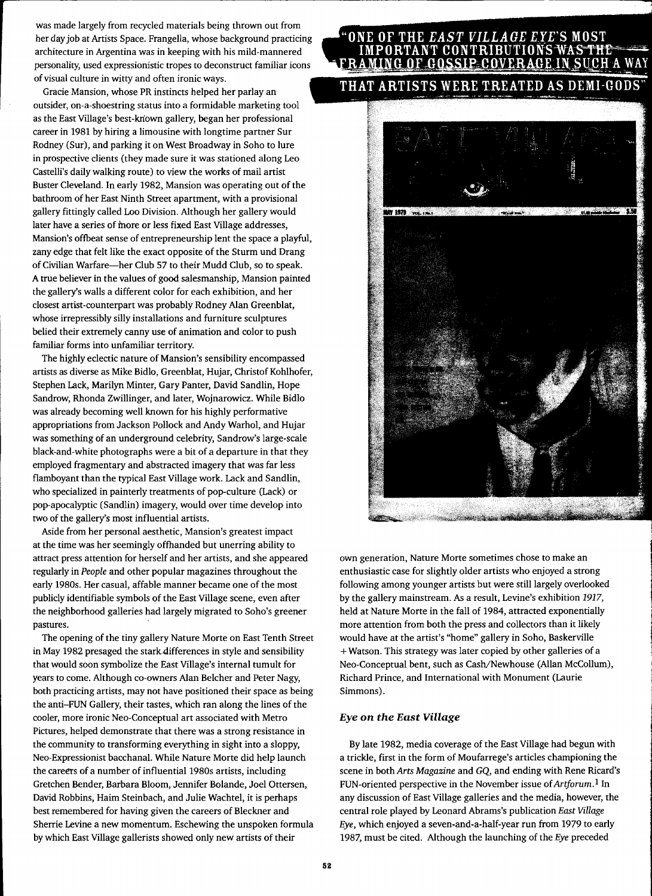was made largely from recycled materials being thrown out from her day job at Artists Space. Frangella, whose background practicing architecture in Argentina was in keeping with his mild-mannered personality, used expressionistic tropes to deconstruct familiar icons of visual culture in witty and often ironic ways.

Gracie Mansion, whose PR instincts helped her parlay an outsider, on-a-shoestring status into a formidable marketing tool as the East Village's best-kriown gallery, began her professional career in 1981 by hiring a limousine with longtime partner Sur Rodney (Sur), and parking it on West Broadway in Soho to lure in prospective clients (they made sure it was stationed along Leo Castelli's daily walking route) to view the works of mail artist Buster Cleveland. In early 1982, Mansion was operating out of the bathroom of her East Ninth Street apartment, with a provisional gallery fittingly called Loo Division. Although her gallery would later have a series of more or less fixed East Village addresses, Mansion's offbeat sense of entrepreneurship lent the space a playful, zany edge that felt like the exact opposite of the Sturm und Orang of Civilian Warfare-her Club 57 to their Mudd Club, so to speak. A true believer in the values of good salesmanship, Mansion painted the gallery's walls a different color for each exhibition, and her closest artist-counterpart was probably Rodney Alan Greenblat, whose irrepressibly silly installations and furniture sculptures belied their extremely canny use of animation and color to push familiar forms into unfamiliar territory.

The highly eclectic nature of Mansion's sensibility encompassed artists as diverse as Mike Bidlo, Green blat, Hujar, Christof Kohlhofer, Stephen Lack, Marilyn Minter, Gary Panter, David Sandlin, Hope Sandrow, Rhonda Zwillinger, and later, Wojnarowicz. While Bidlo was already becoming well known for his highly performative appropriations from Jackson Pollock and Andy Warhol, and Hujar was something of an underground celebrity, Sandrow's large-scale black-and-white photographs were a bit of a departure in that they employed fragmentary and abstracted imagery that was far less flamboyant than the typical East Village work. Lack and Sandlin, who specialized in painterly treatments of pop-culture (Lack) or pop-apocalyptic (Sandlin) imagery, would over time develop into two of the gallery's most influential artists.

Aside from her personal aesthetic, Mansion's greatest impact at the time was her seemingly offhanded but unerring ability to attract press attention for herself and her artists, and she appeared regularly in *People* and other popular magazines throughout the early 1980s. Her casual, affable manner became one of the most publicly identifiable symbols of the East Village scene, even after the neighborhood galleries had largely migrated to Soho's greener pastures.

The opening of the tiny gallery Nature Morte on East Tenth Street in May 1982 presaged the stark differences in style and sensibility that would soon symbolize the East Village's internal tumult for years to come. Although co-owners Alan Belcher and Peter Nagy, both practicing artists, may not have positioned their space as being the anti-FUN Gallery, their tastes, which ran along the lines of the cooler, more ironic Neo-Conceptual art associated with Metro Pictures, helped demonstrate that there was a strong resistance in the community to transforming everything in sight into a sloppy, Neo-Expressionist bacchanal. While Nature Morte did help launch the careers of a number of influential 1980s artists, including Gretchen Bender, Barbara Bloom, Jennifer Bolande, Joel Ottersen, David Robbins, Haim Steinbach, and Julie Wachtel, it is perhaps best remembered for having given the careers of Bleckner and Sherrie Levine a new momentum. Eschewing the unspoken formula by which East Village gallerists showed only new artists of their

### ONE OF THE *EAST VILLAGE EYE'*S MOST IMPORTANT CONTRIBUTIONS FRAMING OF GOSSIP COVE AGE IN SUCH A WAY

## THAT ARTISTS WERE TREATED AS DEMI-GODS"



own generation, Nature Morte sometimes chose to make an enthusiastic case for slightly older artists who enjoyed a strong following among younger artists but were still largely overlooked by the gallery mainstream. As a result, Levine's exhibition 1917, held at Nature Morte in the fall of 1984, attracted exponentially more attention from both the press and collectors than it likely would have at the artist's "home" gallery in Soho, Baskerville +Watson. This strategy was later copied by other galleries of a Neo-Conceptual bent, such as Cash/Newhouse (Allan McCollum), Richard Prince, and International with Monument (Laurie Simmons).

## *Eye on the East Village*

By late 1982, media coverage of the East Village had begun with a trickle, first in the form of Moufarrege's articles championing the scene in both *Arts Magazine* and *GQ,* and ending with Rene Ricard's FUN-oriented perspective in the November issue of *Artforum.l* In any discussion of East Village galleries and the media, however, the central role played by Leonard Abrams's publication *East Village Eye,* which enjoyed a seven-and-a-half-year run from 1979 to early 1987, must be cited. Although the launching of the *Eye* preceded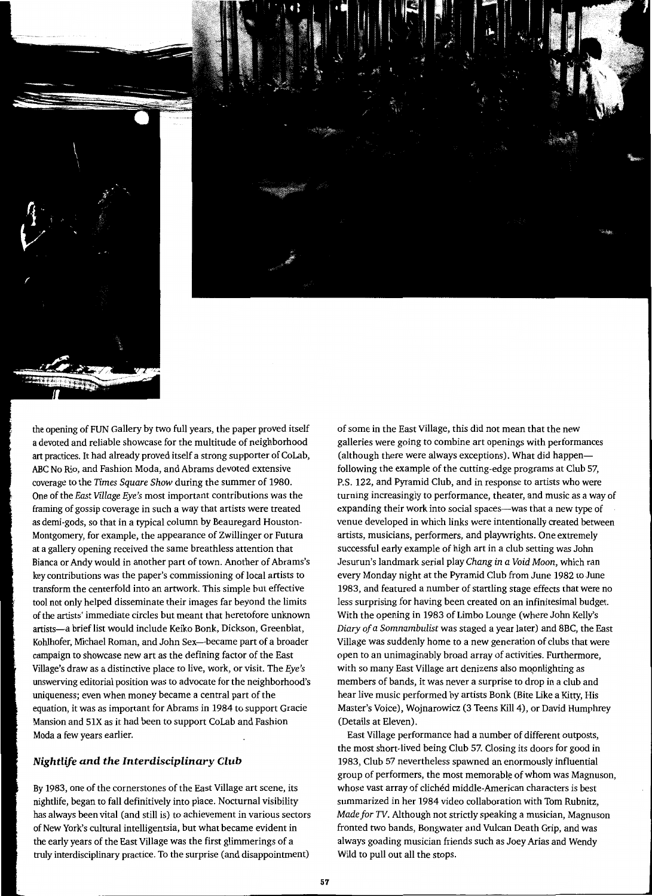

the opening of FUN Gallery by two full years, the paper proved itself a devoted and reliable showcase for the multitude of neighborhood art practices. It had already proved itself a strong supporter of CoLab, ABC No Rio, and Fashion Moda, and Abrams devoted extensive coverage to the *Times Square Show* during the summer of 1980. One of the *East Village Eye's* most important contributions was the framing of gossip coverage in such a way that artists were treated as demi-gods, so that in a typical column by Beauregard Houston-Montgomery, for example, the appearance of Zwillinger or Futura at a gallery opening received the same breathless attention that Bianca or Andy would in another part of town. Another of Abrams's key contributions was the paper's commissioning of local artists to transform the centerfold into an artwork. This simple but effective tool not only helped disseminate their images far beyond the limits of the artists' immediate circles but meant that heretofore unknown artists—a brief list would include Keiko Bonk, Dickson, Greenblat, Kohlhofer, Michael Roman, and John Sex-became part of a broader campaign to showcase new art as the defining factor of the East Village's draw as a distinctive place to live, work, or visit. The *Eye's*  unswerving editorial position was to advocate for the neighborhood's uniqueness; even when money became a central part of the equation, it was as important for Abrams in 1984 to support Gracie Mansion and SIX as it had been to support CoLab and Fashion Moda a few years earlier.

## *Nightlife and the Interdisciplinm·y Club*

By 1983, one of the cornerstones of the East Village art scene, its nightlife, began to fall definitively into place. Nocturnal visibility has always been vital (and still is) to achievement in various sectors of New York's cultural intelligentsia, but what became evident in the early years of the East Village was the first glimmerings of a truly interdisciplinary practice. To the surprise (and disappointment)

of some in the East Village, this did not mean that the new galleries were going to combine art openings with performances (although there were always exceptions). What did happenfollowing the example of the cutting-edge programs at Club 57, P.S. 122, and Pyramid Club, and in response to artists who were turning increasingly to performance, theater, and music as a way of expanding their work into social spaces—was that a new type of venue developed in which links were intentionally created between artists, musicians, performers, and playwrights. One extremely successful early example of high art in a club setting was John Jesurun's landmark serial play *Chang in a Void Moon,* which ran every Monday night at the Pyramid Club from June 1982 to June 1983, and featured a number of startling stage effects that were no less surprising for having been created on an infinitesimal budget. With the opening in 1983 of Limbo Lounge (where John Kelly's *Diary of a Somnambulist* was staged a year later) and 8BC, the East Village was suddenly home to a new generation of clubs that were open to an unimaginably broad array of activities. Furthermore, with so many East Village art denizens also moonlighting as members of bands, it was never a surprise to drop in a club and hear live music performed by artists Bonk (Bite Like a Kitty, His Master's Voice), Wojnarowicz (3 Teens Kill 4), or David Humphrey (Details at Eleven).

East Village performance had a number of different outposts, the most short-lived being Club 57. Closing its doors for good in 1983, Club 57 nevertheless spawned an enormously influential group of performers, the most memorable of whom was Magnuson, whose vast array of clichéd middle-American characters is best summarized in her 1984 video collaboration with Tom Rubnitz, *Made for TV.* Although not strictly speaking a musician, Magnuson fronted two bands, Bongwater and Vulcan Death Grip, and was always goading musician friends such as Joey Arias and Wendy Wild to pull out all the stops.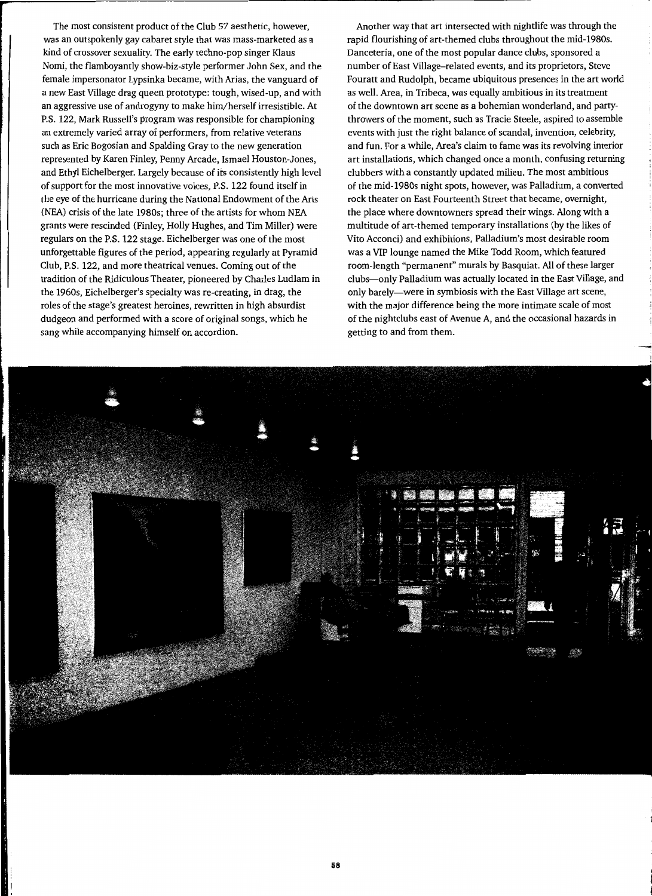The most consistent product of the Club 57 aesthetic, however, was an outspokenly gay cabaret style that was mass-marketed as a kind of crossover sexuality. The early techno-pop singer Klaus Nomi, the flamboyantly show-biz-style performer John Sex, and the female impersonator Lypsinka became, with Arias, the vanguard of a new East Village drag queen prototype: tough, wised-up, and with an aggressive use of androgyny to make him/herself irresistible. At P.S. 122, Mark Russell's program was responsible for championing an extremely varied array of performers, from relative veterans such as Eric Bogosian and Spalding Gray to the new generation represented by Karen Finley, Penny Arcade, lsmael Houston-Jones, and Ethyl Eichelberger. Largely because of its consistently high level of support for the most innovative voices, P.S. 122 found itself in the eye of the hurricane during the National Endowment of the Arts (NEA) crisis of the late 1980s; three of the artists for whom NEA grants were rescinded (Finley, Holly Hughes, and Tim Miller) were regulars on the P.S. 122 stage. Eichelberger was one of the most unforgettable figures of the period, appearing regularly at Pyramid Club, P.S. 122, and more theatrical venues. Coming out of the tradition of the Ridiculous Theater, pioneered by Charles Ludlam in the 1960s, Eichelberger's specialty was re-creating, in drag, the roles of the stage's greatest heroines, rewritten in high absurdist dudgeon and performed with a score of original songs, which he sang while accompanying himself on accordion.

Another way that art intersected with nightlife was through the rapid flourishing of art-themed clubs throughout the mid-1980s. Danceteria, one of the most popular dance clubs, sponsored a number of East Village-related events, and its proprietors, Steve Fouratt and Rudolph, became ubiquitous presences in the art world as well. Area, in Tribeca, was equally ambitious in its treatment of the downtown art scene as a bohemian wonderland, and partythrowers of the moment, such as Tracie Steele, aspired to assemble events with just the right balance of scandal, invention, celebrity, and fun. For a while, Area's claim to fame was its revolving interior art installations, which changed once a month, confusing returning clubbers with a constantly updated milieu. The most ambitious of the mid-1980s night spots, however, was Palladium, a converted rock theater on East Fourteenth Street that became, overnight, the place where downtowners spread their wings. Along with a multitude of art-themed temporary installations (by the likes of Vito Acconci) and exhibitions, Palladium's most desirable room was a VIP lounge named the Mike Todd Room, which featured room-length "permanent" murals by Basquiat. All of these larger clubs-only Palladium was actually located in the East Village, and only barely-were in symbiosis with the East Village art scene, with the major difference being the more intimate scale of most of the nightclubs east of Avenue A, and the occasional hazards in getting to and from them.

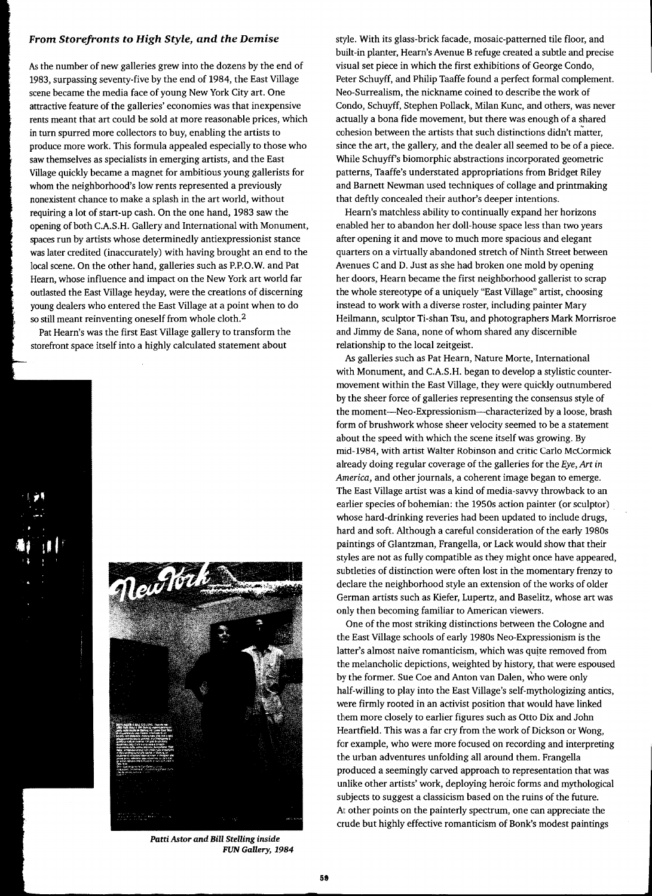## *From Storefronts to High Style, and the Demise*

*As* the number of new galleries grew into the dozens by the end of 1983, surpassing seventy-five by the end of 1984, the East Village scene became the media face of young New York City art. One attractive feature of the galleries' economies was that inexpensive rents meant that art could be sold at more reasonable prices, which in turn spurred more collectors to buy, enabling the artists to produce more work. This formula appealed especially to those who saw themselves as specialists in emerging artists, and the East Village quickly became a magnet for ambitious young gallerists for whom the neighborhood's low rents represented a previously nonexistent chance to make a splash in the art world, without requiring a lot of start-up cash. On the one hand, 1983 saw the opening of both C.A.S.H. Gallery and International with Monument, spaces run by artists whose determinedly antiexpressionist stance was later credited (inaccurately) with having brought an end to the local scene. On the other hand, galleries such as P.P.O.W. and Pat Hearn, whose influence and impact on the New York art world far outlasted the East Village heyday, were the creations of discerning young dealers who entered the East Village at a point when to do so still meant reinventing oneself from whole cloth.<sup>2</sup>

Pat Hearn's was the first East Village gallery to transform the storefront space itself into a highly calculated statement about





*Patti Astor and BiU Stelling inside*  FUN Gallery, 1984

style. With its glass-brick facade, mosaic-patterned tile floor, and built-in planter, Hearn's Avenue B refuge created a subtle and precise visual set piece in which the first exhibitions of George Condo, Peter Schuyff, and Philip Taaffe found a perfect formal complement. Neo-Surrealism, the nickname coined to describe the work of Condo, Schuyff, Stephen Pollack, Milan Kunc, and others, was never actually a bona fide movement, but there was enough of a shared cohesion between the artists that such distinctions didn't matter, since the art, the gallery, and the dealer all seemed to be of a piece. While Schuyff's biomorphic abstractions incorporated geometric patterns, Taaffe's understated appropriations from Bridget Riley and Barnett Newman used techniques of collage and printmaking that deftly concealed their author's deeper intentions.

Hearn's matchless ability to continually expand her horizons enabled her to abandon her doll-house space less than two years after opening it and move to much more spacious and elegant quarters on a virtually abandoned stretch of Ninth Street between Avenues C and D. Just as she had broken one mold by opening her doors, Hearn became the first neighborhood gallerist to scrap the whole stereotype of a uniquely "East Village" artist, choosing instead to work with a diverse roster, including painter Mary Heilmann, sculptor Ti-shan Tsu, and photographers Mark Morrisroe and Jimmy de Sana, none of whom shared any discernible relationship to the local zeitgeist.

As galleries such as Pat Hearn, Nature Morte, International with Monument, and C.A.S.H. began to develop a stylistic countermovement within the East Village, they were quickly outnumbered by the sheer force of galleries representing the consensus style of the moment-Neo-Expressionism--characterized by a loose, brash form of brushwork whose sheer velocity seemed to be a statement about the speed with which the scene itself was growing. By mid-1984, with artist Walter Robinson and critic Carlo McCormick already doing regular coverage of the galleries for the *Eye, Art in America,* and other journals, a coherent image began to emerge. The East Village artist was a kind of media-savvy throwback to an earlier species of bohemian: the 1950s action painter (or sculptor) whose hard-drinking reveries had been updated to include drugs, hard and soft. Although a careful consideration of the early 1980s paintings of Glantzman, Frangella, or Lack would show that their styles are not as fully compatible as they might once have appeared, subtleties of distinction were often lost in the momentary frenzy to declare the neighborhood style an extension of the works of older German artists such as Kiefer, Lupertz, and Baselitz, whose art was only then becoming familiar to American viewers.

One of the most striking distinctions between the Cologne and the East Village schools of early 1980s Neo-Expressionism is the latter's almost naive romanticism, which was quite removed from the melancholic depictions, weighted by history, that were espoused by the former. Sue Coe and Anton van Dalen, who were only half-willing to play into the East Village's self-mythologizing antics, were firmly rooted in an activist position that would have linked them more closely to earlier figures such as Otto Dix and John Heartfield. This was a far cry from the work of Dickson or Wong, for example, who were more focused on recording and interpreting the urban adventures unfolding all around them. Frangella produced a seemingly carved approach to representation that was unlike other artists' work, deploying heroic forms and mythological subjects to suggest a classicism based on the ruins of the future. At other points on the painterly spectrum, one can appreciate the crude but highly effective romanticism of Bonk's modest paintings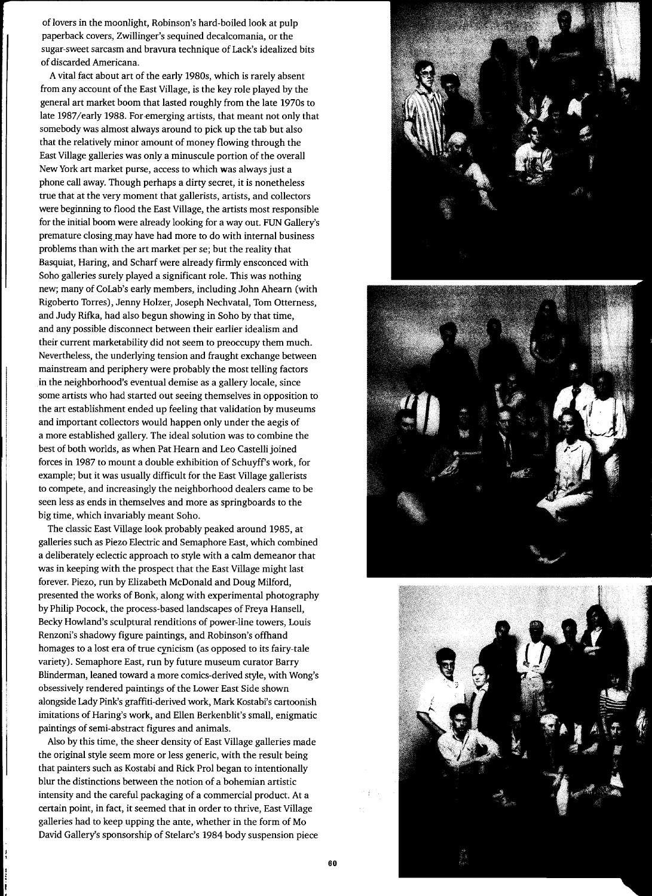of lovers in the moonlight, Robinson's hard-boiled look at pulp paperback covers, Zwillinger's sequined decalcomania, or the sugar-sweet sarcasm and bravura technique of Lack's idealized bits of discarded Americana.

A vital fact about art of the early 1980s, which is rarely absent from any account of the East Village, is the key role played by the general art market boom that lasted roughly from the late 1970s to late 1987/early 1988. For emerging artists, that meant not only that somebody was almost always around to pick up the tab but also that the relatively minor amount of money flowing through the East Village galleries was only a minuscule portion of the overall New York art market purse, access to which was always just a phone call away. Though perhaps a dirty secret, it is nonetheless true that at the very moment that gallerists, artists, and collectors were beginning to flood the East Village, the artists most responsible for the initial boom were already looking for a way out. FUN Gallery's premature closing\_may have had more to do with internal business problems than with the art market per se; but the reality that Basquiat, Haring, and Scharf were already firmly ensconced with Soho galleries surely played a significant role. This was nothing new; many of CoLab's early members, including John Ahearn (with Rigoberto Torres), Jenny Holzer, Joseph Nechvatal, Tom Otterness, and Judy Rifka, had also begun showing in Soho by that time, and any possible disconnect between their earlier idealism and their current marketability did not seem to preoccupy them much. Nevertheless, the underlying tension and fraught exchange between mainstream and periphery were probably the most telling factors in the neighborhood's eventual demise as a gallery locale, since some artists who had started out seeing themselves in opposition to the art establishment ended up feeling that validation by museums and important collectors would happen only under the aegis of a more established gallery. The ideal solution was to combine the best of both worlds, as when Pat Hearn and Leo Castelli joined forces in 1987 to mount a double exhibition of Schuyffs work, for example; but it was usually difficult for the East Village gallerists to compete, and increasingly the neighborhood dealers came to be seen less as ends in themselves and more as springboards to the big time, which invariably meant Soho.

The classic East Village look probably peaked around 1985, at galleries such as Piezo Electric and Semaphore East, which combined a deliberately eclectic approach to style with a calm demeanor that was in keeping with the prospect that the East Village might last forever. Piezo, run by Elizabeth McDonald and Doug Milford, presented the works of Bonk, along with experimental photography by Philip Pocock, the process-based landscapes of Freya Hansell, Becky Howland's sculptural renditions of power-line towers, Louis Renzoni's shadowy figure paintings, and Robinson's offhand homages to a lost era of true cynicism (as opposed to its fairy-tale variety). Semaphore East, run by future museum curator Barry Blinderman, leaned toward a more comics-derived style, with Wong's obsessively rendered paintings of the Lower East Side shown alongside Lady Pink's graffiti-derived work, Mark Kostabi's cartoonish imitations of Haring's work, and Ellen Berkenblit's small, enigmatic paintings of semi-abstract figures and animals.

Also by this time, the sheer density of East Village galleries made the original style seem more or less generic, with the result being that painters such as Kostabi and Rick Prol began to intentionally blur the distinctions between the notion of a bohemian artistic intensity and the careful packaging of a commercial product. At a certain point, in fact, it seemed that in order to thrive, East Village galleries had to keep upping the ante, whether in the form of Mo David Gallery's sponsorship of Stelarc's 1984 body suspension piece





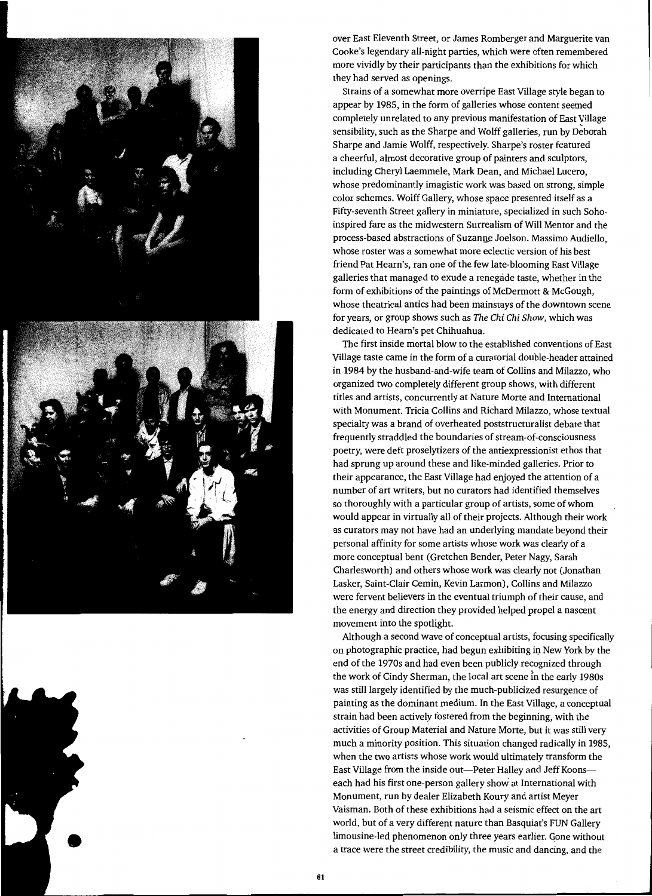

over East Eleventh Street, or James Romberger and Marguerite van Cooke's legendary all-night parties, which were often remembered more vividly by their participants than the exhibitions for which they had served as openings.

Strains of a somewhat more overripe East Village style began to appear by 1985, in the form of galleries whose content seemed completely unrelated to any previous manifestation of East Village sensibility, such as the Sharpe and Wolff galleries, run by Deborah Sharpe and Jamie Wolff, respectively. Sharpe's roster featured a cheerful, almost decorative group of painters and sculptors, including Cheryl Laemmele, Mark Dean, and Michael Lucero, whose predominantly imagistic work was based on strong, simple color schemes. Wolff Gallery, whose space presented itself as a Fifty-seventh Street gallery in miniature, specialized in such Sohoinspired fare as the midwestern Surrealism of Will Mentor and the process-based abstractions of Suzanne Joelson. Massimo Audiello, whose roster was a somewhat more eclectic version of his best friend Pat Hearn's, ran one of the few late-blooming East Village galleries that managed to exude a renegade taste, whether in the form of exhibitions of the paintings of McDermott & McGough, whose theatrical antics had been mainstays of the downtown scene for years, or group shows such as *The Chi Chi Show,* which was dedicated to Hearn's pet Chihuahua.

The first inside mortal blow to the established conventions of East Village taste came in the form of a curatorial double-header attained in 1984 by the husband-and-wife team of Collins and Milazzo, who organized two completely different group shows, with different titles and artists, concurrently at Nature Morte and International with Monument. Tricia Collins and Richard Milazzo, whose textual specialty was a brand of overheated poststructuralist debate that frequently straddled the boundaries of stream-of-consciousness poetry, were deft proselytizers of the antiexpressionist ethos that had sprung up around these and like-minded galleries. Prior to their appearance, the East Village had enjoyed the attention of a number of art writers, but no curators had identified themselves so thoroughly with a particular group of artists, some of whom would appear in virtually all of their projects. Although their work as curators may not have had an underlying mandate beyond their personal affinity for some artists whose work was clearly of a more conceptual bent (Gretchen Bender, Peter Nagy, Sarah Charlesworth) and others whose work was clearly not (Jonathan Lasker, Saint-Clair Cemin, Kevin Larmon), Collins and Milazzo were fervent believers in the eventual triumph of their cause, and the energy and direction they provided helped propel a nascent movement into the spotlight.

Although a second wave of conceptual artists, focusing specifically on photographic practice, had begun exhibiting in New York by the end of the 1970s and had even been publicly recognized through the work of Cindy Sherman, the local art scene in the early 1980s was still largely identified by the much-publicized resurgence of painting as the dominant medium. In the East Village, a conceptual strain had been actively fostered from the beginning, with the activities of Group Material and Nature Morte, but it was still very much a minority position. This situation changed radically in 1985, when the two artists whose work would ultimately transform the East Village from the inside out—Peter Halley and Jeff Koons each had his first one-person gallery show at International with Monument, run by dealer Elizabeth Koury and artist Meyer Vaisman. Both of these exhibitions had a seismic effect on the art world, but of a very different nature than Basquiat's FUN Gallery limousine-led phenomenon only three years earlier. Gone without a trace were the street credibility, the music and dancing, and the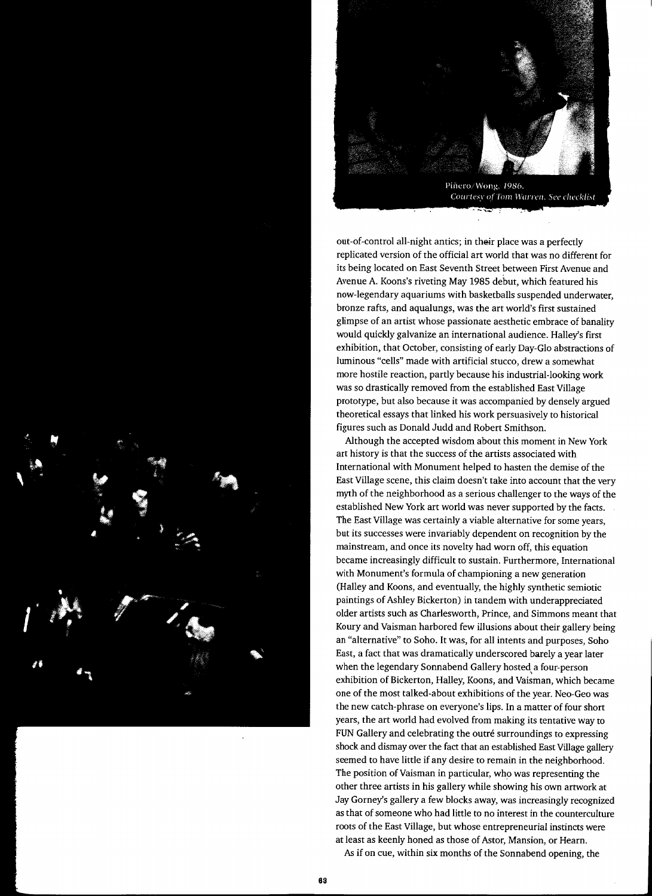



Piñero/Wong, 1986. Courtesy of Tom Warren. See checklist

out-of-control all-night antics; in their place was a perfectly replicated version of the official art world that was no different for its being located on East Seventh Street between First Avenue and Avenue A. Koons's riveting May 1985 debut, which featured his now-legendary aquariums with basketballs suspended underwater, bronze rafts, and aqualungs, was the art world's first sustained glimpse of an artist whose passionate aesthetic embrace of banality would quickly galvanize an international audience. Halley's first exhibition, that October, consisting of early Day-Glo abstractions of luminous "cells" made with artificial stucco, drew a somewhat more hostile reaction, partly because his industrial-looking work was so drastically removed from the established East Village prototype, but also because it was accompanied by densely argued theoretical essays that linked his work persuasively to historical figures such as Donald Judd and Robert Smithson.

Although the accepted wisdom about this moment in New York art history is that the success of the artists associated with International with Monument helped to hasten the demise of the East Village scene, this claim doesn't take into account that the very myth of the neighborhood as a serious challenger to the ways of the established New York art world was never supported by the facts. The East Village was certainly a viable alternative for some years, but its successes were invariably dependent on recognition by the mainstream, and once its novelty had worn off, this equation became increasingly difficult to sustain. Furthermore, International with Monument's formula of championing a new generation (Halley and Koons, and eventually, the highly synthetic semiotic paintings of Ashley Bickerton) in tandem with underappreciated older artists such as Charlesworth, Prince, and Simmons meant that Koury and Vaisman harbored few illusions about their gallery being an "alternative" to Soho. It was, for all intents and purposes, Soho East, a fact that was dramatically underscored barely a year later when the legendary Sonnabend Gallery hosted a four-person exhibition of Bickerton, Halley, Koons, and Vaisman, which became one of the most talked-about exhibitions of the year. Neo-Geo was the new catch-phrase on everyone's lips. In a matter of four short years, the art world had evolved from making its tentative way to FUN Gallery and celebrating the outré surroundings to expressing shock and dismay over the fact that an established East Village gallery seemed to have little if any desire to remain in the neighborhood. The position of Vaisman in particular, who was representing the other three artists in his gallery while showing his own artwork at Jay Gorney's gallery a few blocks away, was increasingly recognized as that of someone who had little to no interest in the counterculture roots of the East Village, but whose entrepreneurial instincts were at least as keenly honed as those of Astor, Mansion, or Hearn.

As if on cue, within six months of the Sonnabend opening, the